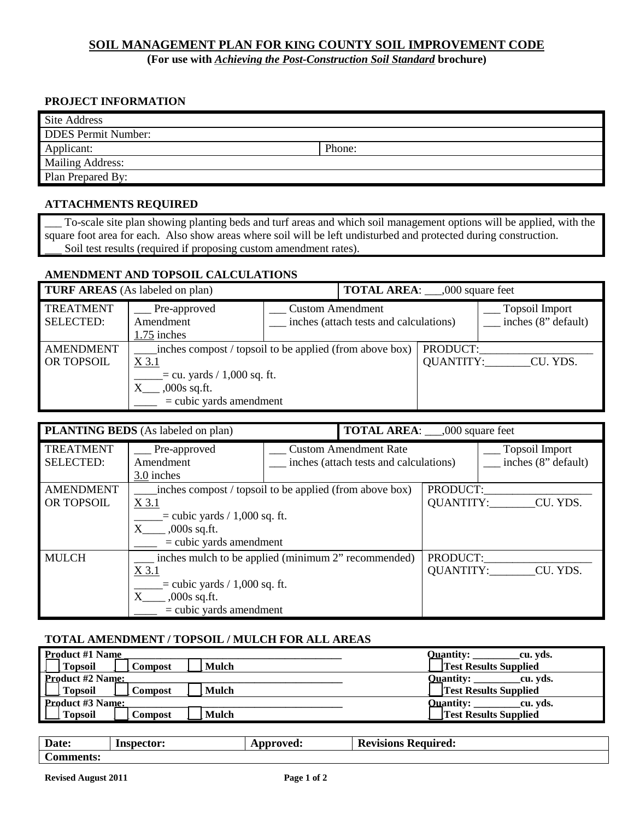## **SOIL MANAGEMENT PLAN FOR KING COUNTY SOIL IMPROVEMENT CODE**

(For use with *Achieving the Post-Construction Soil Standard* **brochure**)

#### **PROJECT INFORMATION**

| <b>Site Address</b>        |        |  |  |  |
|----------------------------|--------|--|--|--|
| <b>DDES</b> Permit Number: |        |  |  |  |
| Applicant:                 | Phone: |  |  |  |
| <b>Mailing Address:</b>    |        |  |  |  |
| Plan Prepared By:          |        |  |  |  |

#### **ATTACHMENTS REQUIRED**

\_\_\_ To-scale site plan showing planting beds and turf areas and which soil management options will be applied, with the square foot area for each. Also show areas where soil will be left undisturbed and protected during construction. Soil test results (required if proposing custom amendment rates).

#### **AMENDMENT AND TOPSOIL CALCULATIONS**

| <b>TURF AREAS</b> (As labeled on plan) |                                                                                                                                                  | <b>TOTAL AREA:</b> ___,000 square feet |                                        |                       |                                       |
|----------------------------------------|--------------------------------------------------------------------------------------------------------------------------------------------------|----------------------------------------|----------------------------------------|-----------------------|---------------------------------------|
| <b>TREATMENT</b><br><b>SELECTED:</b>   | $\equiv$ Pre-approved<br>Amendment<br>1.75 inches                                                                                                | <b>Custom Amendment</b>                | inches (attach tests and calculations) |                       | Topsoil Import<br>inches (8" default) |
| <b>AMENDMENT</b><br>OR TOPSOIL         | inches compost / topsoil to be applied (from above box)<br>X 3.1<br>$=$ cu. yards / 1,000 sq. ft.<br>$,000s$ sq.ft.<br>$=$ cubic yards amendment |                                        |                                        | PRODUCT:<br>QUANTITY: | CU. YDS.                              |

|                                      | <b>PLANTING BEDS</b> (As labeled on plan)                                                                                                                       |  | <b>TOTAL AREA:</b> ___,000 square feet                                 |          |                                              |
|--------------------------------------|-----------------------------------------------------------------------------------------------------------------------------------------------------------------|--|------------------------------------------------------------------------|----------|----------------------------------------------|
| <b>TREATMENT</b><br><b>SELECTED:</b> | __ Pre-approved<br>Amendment<br>3.0 inches                                                                                                                      |  | <b>Custom Amendment Rate</b><br>inches (attach tests and calculations) |          | <b>Topsoil Import</b><br>inches (8" default) |
| <b>AMENDMENT</b><br>OR TOPSOIL       | inches compost / topsoil to be applied (from above box)<br>$X$ 3.1<br>$=$ cubic yards / 1,000 sq. ft.<br>$,000s$ sq.ft.<br>$X_{-}$<br>$=$ cubic yards amendment |  | PRODUCT:<br>QUANTITY:                                                  | CU. YDS. |                                              |
| <b>MULCH</b>                         | inches mulch to be applied (minimum 2" recommended)<br>X 3.1<br>$=$ cubic yards $/ 1,000$ sq. ft.<br>$,000s$ sq.ft.<br>$=$ cubic yards amendment                |  |                                                                        | PRODUCT: | QUANTITY: CU. YDS.                           |

#### **TOTAL AMENDMENT / TOPSOIL / MULCH FOR ALL AREAS**

| <b>Product #1 Name</b>                    | <b>Ouantity:</b><br>cu. vds. |
|-------------------------------------------|------------------------------|
| <b>Topsoil</b><br>Mulch<br>Compost        | <b>Test Results Supplied</b> |
| <b>Product #2 Name:</b>                   | <b>Ouantity:</b><br>cu. vds. |
| <b>Topsoil</b><br><b>Mulch</b><br>Compost | <b>Test Results Supplied</b> |
|                                           | <b>Ouantity:</b><br>cu. vds. |
| Product #3 Name:<br>Mulch<br>Compost      | <b>Test Results Supplied</b> |

| D<br>Date:                          | Inspector: | $\sim$ $\sim$ $\sim$ $\sim$ $\sim$ $\sim$ $\sim$<br>$\lambda$<br>cu. | ┳<br>Revisions<br>'equired.<br>R |  |
|-------------------------------------|------------|----------------------------------------------------------------------|----------------------------------|--|
| $\sim$<br>aonto:<br>linents:<br>ÆU. |            |                                                                      |                                  |  |